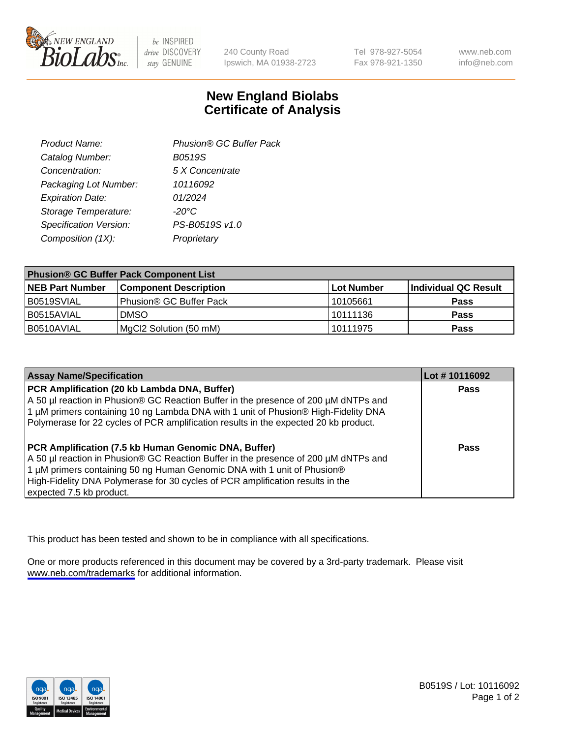

be INSPIRED drive DISCOVERY stay GENUINE

240 County Road Ipswich, MA 01938-2723 Tel 978-927-5054 Fax 978-921-1350

www.neb.com info@neb.com

## **New England Biolabs Certificate of Analysis**

| Product Name:           | Phusion® GC Buffer Pack |
|-------------------------|-------------------------|
| Catalog Number:         | B0519S                  |
| Concentration:          | 5 X Concentrate         |
| Packaging Lot Number:   | 10116092                |
| <b>Expiration Date:</b> | 01/2024                 |
| Storage Temperature:    | $-20^{\circ}$ C         |
| Specification Version:  | PS-B0519S v1.0          |
| Composition (1X):       | Proprietary             |
|                         |                         |

| <b>Phusion® GC Buffer Pack Component List</b> |                                     |                   |                      |  |
|-----------------------------------------------|-------------------------------------|-------------------|----------------------|--|
| <b>NEB Part Number</b>                        | <b>Component Description</b>        | <b>Lot Number</b> | Individual QC Result |  |
| B0519SVIAL                                    | Phusion <sup>®</sup> GC Buffer Pack | 10105661          | <b>Pass</b>          |  |
| B0515AVIAL                                    | <b>DMSO</b>                         | 10111136          | <b>Pass</b>          |  |
| B0510AVIAL                                    | MgCl2 Solution (50 mM)              | 10111975          | <b>Pass</b>          |  |

| <b>Assay Name/Specification</b>                                                                                                                                                                                                                                                                                                      | Lot #10116092 |
|--------------------------------------------------------------------------------------------------------------------------------------------------------------------------------------------------------------------------------------------------------------------------------------------------------------------------------------|---------------|
| PCR Amplification (20 kb Lambda DNA, Buffer)<br>A 50 µl reaction in Phusion® GC Reaction Buffer in the presence of 200 µM dNTPs and<br>1 μM primers containing 10 ng Lambda DNA with 1 unit of Phusion® High-Fidelity DNA<br>Polymerase for 22 cycles of PCR amplification results in the expected 20 kb product.                    | <b>Pass</b>   |
| PCR Amplification (7.5 kb Human Genomic DNA, Buffer)<br>A 50 µl reaction in Phusion® GC Reaction Buffer in the presence of 200 µM dNTPs and<br>1 µM primers containing 50 ng Human Genomic DNA with 1 unit of Phusion®<br>High-Fidelity DNA Polymerase for 30 cycles of PCR amplification results in the<br>expected 7.5 kb product. | <b>Pass</b>   |

This product has been tested and shown to be in compliance with all specifications.

One or more products referenced in this document may be covered by a 3rd-party trademark. Please visit <www.neb.com/trademarks>for additional information.